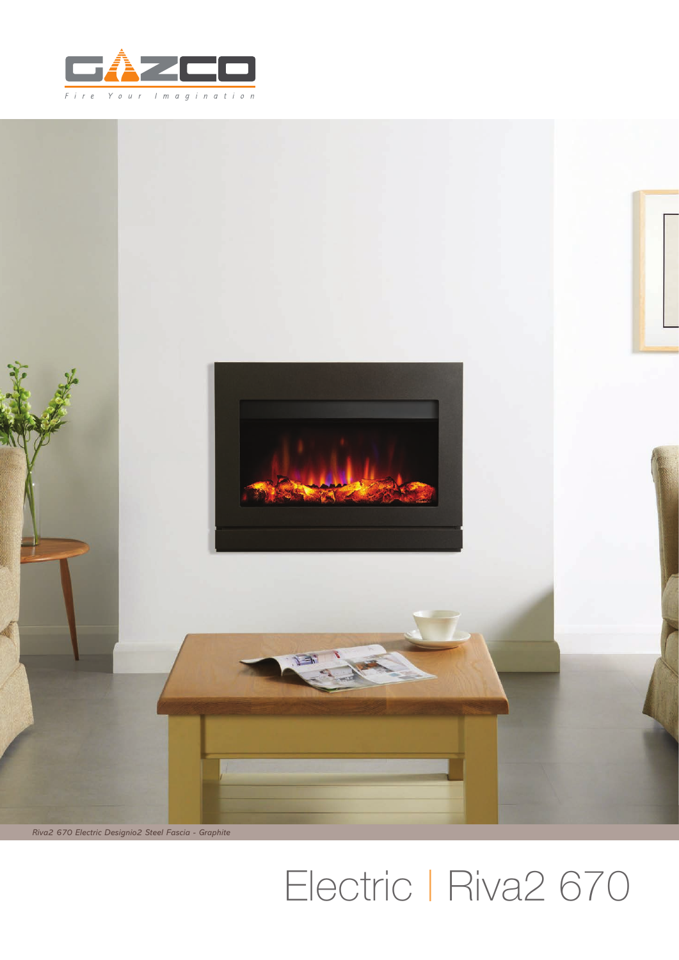



Riva2 670 Electric Designio2 Steel Fascia - Graphite

# Electric | Riva2 670